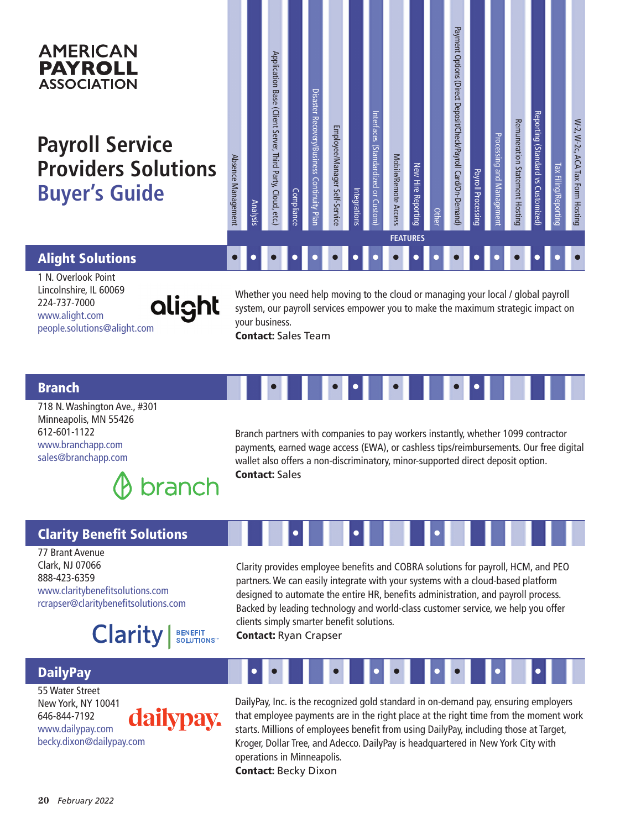#### Payment Options (Direct Deposit/Check/Payroll Card/On-Demand Payment Options (Direct Deposit/Check/Payroll Card/On-Demand) **AMERICAN** Application Base (Client Server, Third Party, Cloud, etc Application Base (Client Server, Third Party, Cloud, etc.) **PAYROLL ASSOCIATION** Disaster Recovery/Business Continuity PI Disaster Recovery/Business Continuity Plan Interfaces (Standardized or Custom) Reporting (Standard vs Customize Reporting (Standard vs Customized) Interfaces (Standardized or Custo W-2, W-2c, ACA Tax Form Hosting Remuneration Statement Hostin W-2, W-2c, ACA Tax Form Hosting Remuneration Statement Hosting Employee/Manager Self-Service Employee/Manager Self-Service Processing and Manag Processing and Management **Payroll Service**  Absence Managemen Mobile/Remote Access Absence Management Mobile/Remote Access **Providers Solutions**  New Hire Reporting Tax Filing/Repor Tax Filing/Reporting New Hire Reporting Payroll Processing Payroll Processing **Buyer's Guide** Integrations Compliance Analysis Other **FEATURES** • • • • • • • • • • • • • • • • • • Alight Solutions

1 N. Overlook Point Lincolnshire, IL 60069 224-737-7000 www.alight.com people.solutions@alight.com

alight

Whether you need help moving to the cloud or managing your local / global payroll system, our payroll services empower you to make the maximum strategic impact on your business.

Contact: Sales Team

#### Branch

718 N. Washington Ave., #301 Minneapolis, MN 55426 612-601-1122 www.branchapp.com sales@branchapp.com



Branch partners with companies to pay workers instantly, whether 1099 contractor payments, earned wage access (EWA), or cashless tips/reimbursements. Our free digital wallet also offers a non-discriminatory, minor-supported direct deposit option. Contact: Sales

### Clarity Benefit Solutions

77 Brant Avenue Clark, NJ 07066 888-423-6359 www.claritybenefitsolutions.com rcrapser@claritybenefitsolutions.com



Clarity provides employee benefits and COBRA solutions for payroll, HCM, and PEO partners. We can easily integrate with your systems with a cloud-based platform designed to automate the entire HR, benefits administration, and payroll process. Backed by leading technology and world-class customer service, we help you offer clients simply smarter benefit solutions.

• • • • • • • • •

• • • • • • • • •

• • • • • •

Contact: Ryan Crapser

### **DailyPay**

55 Water Street New York, NY 10041 dailypay. 646-844-7192 www.dailypay.com becky.dixon@dailypay.com

DailyPay, Inc. is the recognized gold standard in on-demand pay, ensuring employers that employee payments are in the right place at the right time from the moment work starts. Millions of employees benefit from using DailyPay, including those at Target, Kroger, Dollar Tree, and Adecco. DailyPay is headquartered in New York City with operations in Minneapolis. Contact: Becky Dixon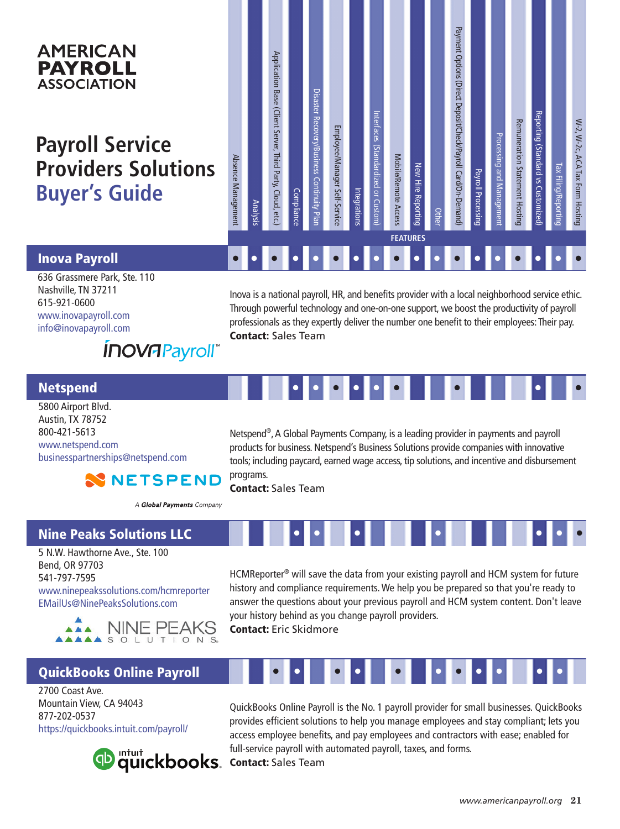# **AMERICAN PAYROLL ASSOCIATION**

# **Payroll Service Providers Solutions Buyer's Guide**

| Absence Management                                                                                                                                                                                                                                                                                                        | Analysis | Application Base (Client Server, Third Party, Cloud, etc.) | <b>Compliance</b> | Disaster Recovery/Business Continuity Plan | Employee/Manager Self-Service | Integrations | Interfaces (Standardized or Custom) | Mobile/Remote Access | New Hire Reporting<br><b>FEATURES</b> | Other | Payment Options (Direct Deposit/Check/Payroll Card/On-Demand) | <b>Payroll Processing</b> | Processing and Management | <b>Remuneration Statement Hosting</b> | Reporting (Standard vs Customized) | Tax Filing/Reporting | W-2, W-2c, ACA Tax Form Hosting |
|---------------------------------------------------------------------------------------------------------------------------------------------------------------------------------------------------------------------------------------------------------------------------------------------------------------------------|----------|------------------------------------------------------------|-------------------|--------------------------------------------|-------------------------------|--------------|-------------------------------------|----------------------|---------------------------------------|-------|---------------------------------------------------------------|---------------------------|---------------------------|---------------------------------------|------------------------------------|----------------------|---------------------------------|
|                                                                                                                                                                                                                                                                                                                           |          |                                                            |                   |                                            |                               |              |                                     |                      |                                       |       |                                                               |                           |                           |                                       |                                    |                      |                                 |
|                                                                                                                                                                                                                                                                                                                           |          |                                                            |                   |                                            |                               |              |                                     |                      |                                       |       |                                                               |                           |                           |                                       |                                    |                      |                                 |
| Inova is a national payroll, HR, and benefits provider with a local neighborhood service ethic.<br>Through powerful technology and one-on-one support, we boost the productivity of payroll<br>professionals as they expertly deliver the number one benefit to their employees: Their pay.<br><b>Contact: Sales Team</b> |          |                                                            |                   |                                            |                               |              |                                     |                      |                                       |       |                                                               |                           |                           |                                       |                                    |                      |                                 |

### Inova Payroll

636 Grassmere Park, Ste. 110 Nashville, TN 37211 615-921-0600 www.inovapayroll.com info@inovapayroll.com

# *INOVAPayroll*

#### Netspend

5800 Airport Blvd. Austin, TX 78752 800-421-5613 www.netspend.com businesspartnerships@netspend.com

Netspend®, A Global Payments Company, is a leading provider in payments and payroll products for business. Netspend's Business Solutions provide companies with innovative tools; including paycard, earned wage access, tip solutions, and incentive and disbursement programs.

Contact: Sales Team

A Global Payments Company

**NN NETSPEND** 

# Nine Peaks Solutions LLC

5 N.W. Hawthorne Ave., Ste. 100 Bend, OR 97703 541-797-7595 www.ninepeakssolutions.com/hcmreporter EMailUs@NinePeaksSolutions.com



# QuickBooks Online Payroll

2700 Coast Ave. Mountain View, CA 94043 877-202-0537 https://quickbooks.intuit.com/payroll/



HCMReporter® will save the data from your existing payroll and HCM system for future history and compliance requirements. We help you be prepared so that you're ready to answer the questions about your previous payroll and HCM system content. Don't leave your history behind as you change payroll providers.

• • • • • • •

Contact: Eric Skidmore



QuickBooks Online Payroll is the No. 1 payroll provider for small businesses. QuickBooks provides efficient solutions to help you manage employees and stay compliant; lets you access employee benefits, and pay employees and contractors with ease; enabled for full-service payroll with automated payroll, taxes, and forms. Contact: Sales Team